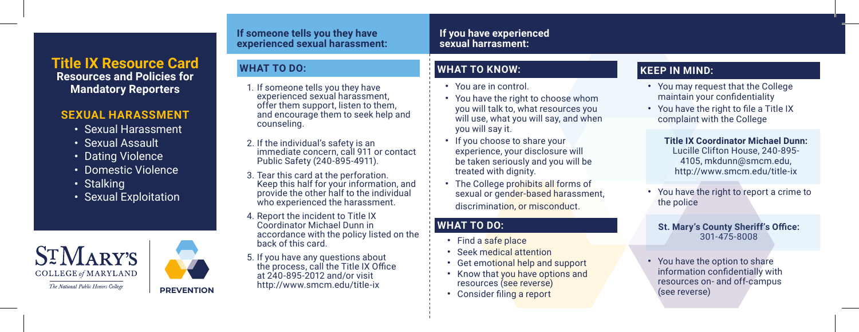# **Title IX Resource Card Resources and Policies for Mandatory Reporters**

## **SEXUAL HARASSMENT**

- **·** Sexual Harassment
- **·** Sexual Assault
- **·** Dating Violence
- **·** Domestic Violence
- **·** Stalking
- **· ·** Sexual Exploitation





#### **If someone tells you they have experienced sexual harassment:**

## **WHAT TO DO:**

- 1. If someone tells you they have experienced sexual harassment, offer them support, listen to them, and encourage them to seek help and counseling.
- 2. If the individual's safety is an immediate concern, call 911 or contact Public Safety (240-895-4911).
- 3. Tear this card at the perforation. Keep this half for your information, and provide the other half to the individual who experienced the harassment.
- 4. Report the incident to Title IX Coordinator Michael Dunn in accordance with the policy listed on the back of this card.
- 5. If you have any questions about the process, call the Title IX Office at 240-895-2012 and/or visit http://www.smcm.edu/title-ix **PREVENTION**

## **WHAT TO KNOW:**

**·** You are in control.

**If you have experienced sexual harrasment:**

- **·** You have the right to choose whom you will talk to, what resources you will use, what you will say, and when you will say it.
- **·** If you choose to share your experience, your disclosure will be taken seriously and you will be treated with dignity.
- **·** The College prohibits all forms of sexual or gender-based harassment, discrimination, or misconduct.

## **WHAT TO DO:**

- **·** Find a safe place
- **·** Seek medical attention
- **·** Get emotional help and support
- **·** Know that you have options and resources (see reverse)
- Consider filing a report

## **KEEP IN MIND:**

- **·** You may request that the College maintain your confidentiality
- You have the right to file a Title IX complaint with the College

**Title IX Coordinator Michael Dunn:**  Lucille Clifton House, 240-895- 4105, mkdunn@smcm.edu, http://www.smcm.edu/title-ix

**·** You have the right to report a crime to the police

#### **St. Mary's County Sheriff's Office:** 301-475-8008

**·** You have the option to share information confidentially with resources on- and off-campus (see reverse)